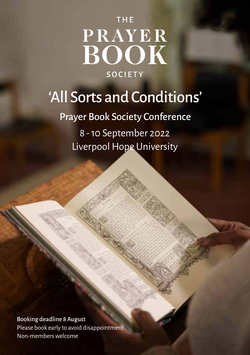# THE PRAYER<br>BOOK **SOCIETY**

## 'All Sorts and Conditions'

Prayer Book Society Conference

8 - 10 September 2022 Liverpool Hope University

Booking deadline 8 August Please book early to avoid disappointment Non-members welcome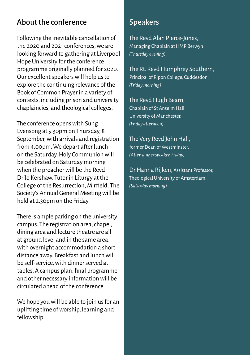#### About the conference

Following the inevitable cancellation of the 2020 and 2021 conferences, we are looking forward to gathering at Liverpool Hope University for the conference programme originally planned for 2020. Our excellent speakers will help us to explore the continuing relevance of the Book of Common Prayer in a variety of contexts, including prison and university chaplaincies, and theological colleges.

The conference opens with Sung Evensong at 5.30pm on Thursday, 8 September, with arrivals and registration from 4.00pm. We depart after lunch on the Saturday. Holy Communion will be celebrated on Saturday morning when the preacher will be the Revd Dr Jo Kershaw, Tutor in Liturgy at the College of the Resurrection, Mirfield. The Society's Annual General Meeting will be held at 2.30pm on the Friday.

There is ample parking on the university campus. The registration area, chapel, dining area and lecture theatre are all at ground level and in the same area, with overnight accommodation a short distance away. Breakfast and lunch will be self-service, with dinner served at tables. A campus plan, final programme, and other necessary information will be circulated ahead of the conference.

We hope you will be able to join us for an uplifting time of worship, learning and fellowship.

#### Speakers

The Revd Alan Pierce-Jones, Managing Chaplain at HMP Berwyn *(Thursday evening)*

The Rt. Revd Humphrey Southern, Principal of Ripon College, Cuddesdon. *(Friday morning)*

The Revd Hugh Bearn, Chaplain of St Anselm Hall, University of Manchester. *(Friday afternoon)*

The Very Revd John Hall, former Dean of Westminster. *(After-dinner speaker, Friday)*

Dr Hanna Rijken, Assistant Professor, Theological University of Amsterdam. *(Saturday morning)*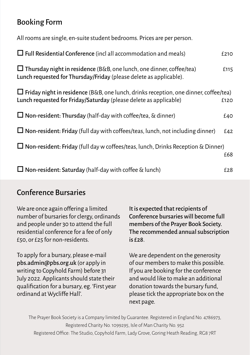### Booking Form

All rooms are single, en-suite student bedrooms. Prices are per person.

| $\Box$ Full Residential Conference (incl all accommodation and meals)                                                                                            | £210 |
|------------------------------------------------------------------------------------------------------------------------------------------------------------------|------|
| $\Box$ Thursday night in residence (B&B, one lunch, one dinner, coffee/tea)<br>Lunch requested for Thursday/Friday (please delete as applicable).                | £115 |
| $\Box$ Friday night in residence (B&B, one lunch, drinks reception, one dinner, coffee/tea)<br>Lunch requested for Friday/Saturday (please delete as applicable) | £120 |
| $\Box$ Non-resident: Thursday (half-day with coffee/tea, & dinner)                                                                                               | £40  |
| $\Box$ Non-resident: Friday (full day with coffees/teas, lunch, not including dinner)                                                                            | £42  |
| $\Box$ Non-resident: Friday (full day w coffees/teas, lunch, Drinks Reception & Dinner)                                                                          | £68  |
| $\Box$ Non-resident: Saturday (half-day with coffee & lunch)                                                                                                     | £28  |

#### Conference Bursaries

| We are once again offering a limited                                                                                                                                                                                                         | It is expected that recipients of                                                                                                                                                                                                                          |
|----------------------------------------------------------------------------------------------------------------------------------------------------------------------------------------------------------------------------------------------|------------------------------------------------------------------------------------------------------------------------------------------------------------------------------------------------------------------------------------------------------------|
| number of bursaries for clergy, ordinands                                                                                                                                                                                                    | Conference bursaries will become full                                                                                                                                                                                                                      |
| and people under 30 to attend the full                                                                                                                                                                                                       | members of the Prayer Book Society.                                                                                                                                                                                                                        |
| residential conference for a fee of only                                                                                                                                                                                                     | The recommended annual subscription                                                                                                                                                                                                                        |
| £50, or £25 for non-residents.                                                                                                                                                                                                               | is E28.                                                                                                                                                                                                                                                    |
| To apply for a bursary, please e-mail<br>pbs.admin@pbs.org.uk (or apply in<br>writing to Copyhold Farm) before 31<br>July 2022. Applicants should state their<br>qualification for a bursary, eg. 'First year<br>ordinand at Wycliffe Hall'. | We are dependent on the generosity<br>of our members to make this possible.<br>If you are booking for the conference<br>and would like to make an additional<br>donation towards the bursary fund,<br>please tick the appropriate box on the<br>next page. |

The Prayer Book Society is a Company limited by Guarantee. Registered in England No. 4786973, Registered Charity No. 1099295, Isle of Man Charity No. 952 Registered Office: The Studio, Copyhold Farm, Lady Grove, Goring Heath Reading, RG8 7RT